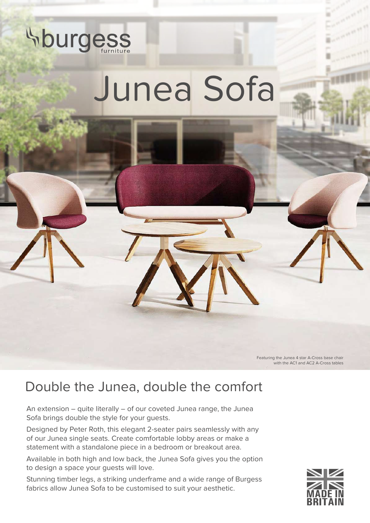

## Junea Sofa

Featuring the Junea 4 star A-Cross base chair with the AC1 and AC2 A-Cross tables

## Double the Junea, double the comfort

An extension – quite literally – of our coveted Junea range, the Junea Sofa brings double the style for your guests.

Designed by Peter Roth, this elegant 2-seater pairs seamlessly with any of our Junea single seats. Create comfortable lobby areas or make a statement with a standalone piece in a bedroom or breakout area.

Available in both high and low back, the Junea Sofa gives you the option to design a space your guests will love.

Stunning timber legs, a striking underframe and a wide range of Burgess fabrics allow Junea Sofa to be customised to suit your aesthetic.